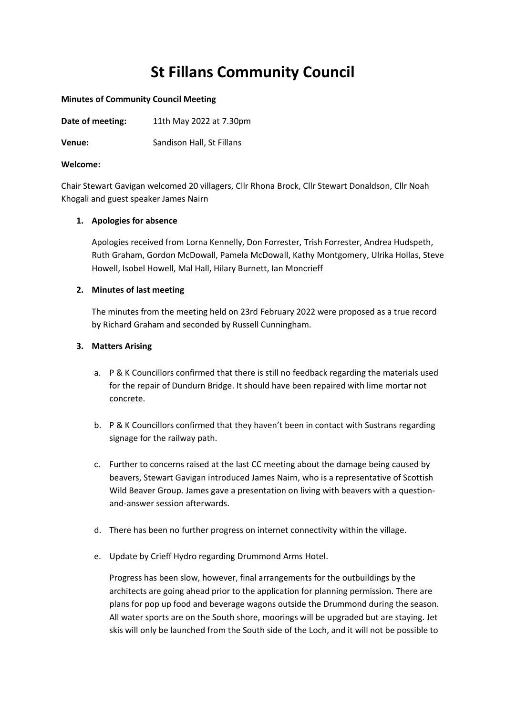# **St Fillans Community Council**

#### **Minutes of Community Council Meeting**

**Venue:** Sandison Hall, St Fillans

## **Welcome:**

Chair Stewart Gavigan welcomed 20 villagers, Cllr Rhona Brock, Cllr Stewart Donaldson, Cllr Noah Khogali and guest speaker James Nairn

## **1. Apologies for absence**

Apologies received from Lorna Kennelly, Don Forrester, Trish Forrester, Andrea Hudspeth, Ruth Graham, Gordon McDowall, Pamela McDowall, Kathy Montgomery, Ulrika Hollas, Steve Howell, Isobel Howell, Mal Hall, Hilary Burnett, Ian Moncrieff

# **2. Minutes of last meeting**

The minutes from the meeting held on 23rd February 2022 were proposed as a true record by Richard Graham and seconded by Russell Cunningham.

# **3. Matters Arising**

- a. P & K Councillors confirmed that there is still no feedback regarding the materials used for the repair of Dundurn Bridge. It should have been repaired with lime mortar not concrete.
- b. P & K Councillors confirmed that they haven't been in contact with Sustrans regarding signage for the railway path.
- c. Further to concerns raised at the last CC meeting about the damage being caused by beavers, Stewart Gavigan introduced James Nairn, who is a representative of Scottish Wild Beaver Group. James gave a presentation on living with beavers with a questionand-answer session afterwards.
- d. There has been no further progress on internet connectivity within the village.
- e. Update by Crieff Hydro regarding Drummond Arms Hotel.

Progress has been slow, however, final arrangements for the outbuildings by the architects are going ahead prior to the application for planning permission. There are plans for pop up food and beverage wagons outside the Drummond during the season. All water sports are on the South shore, moorings will be upgraded but are staying. Jet skis will only be launched from the South side of the Loch, and it will not be possible to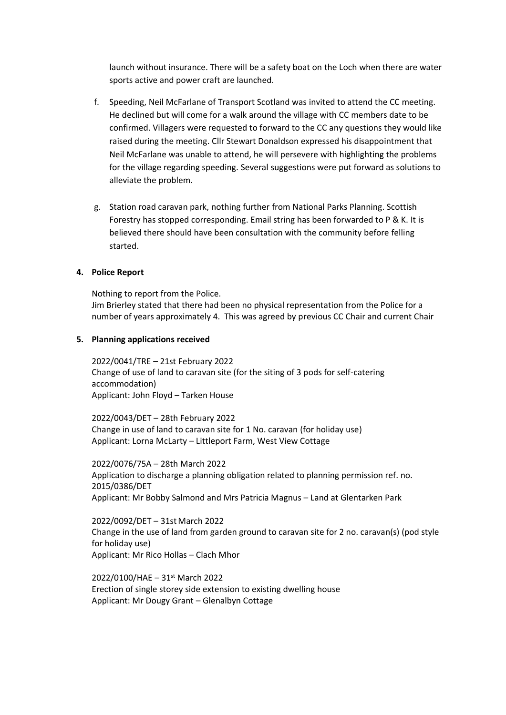launch without insurance. There will be a safety boat on the Loch when there are water sports active and power craft are launched.

- f. Speeding, Neil McFarlane of Transport Scotland was invited to attend the CC meeting. He declined but will come for a walk around the village with CC members date to be confirmed. Villagers were requested to forward to the CC any questions they would like raised during the meeting. Cllr Stewart Donaldson expressed his disappointment that Neil McFarlane was unable to attend, he will persevere with highlighting the problems for the village regarding speeding. Several suggestions were put forward as solutions to alleviate the problem.
- g. Station road caravan park, nothing further from National Parks Planning. Scottish Forestry has stopped corresponding. Email string has been forwarded to P & K. It is believed there should have been consultation with the community before felling started.

# **4. Police Report**

Nothing to report from the Police. Jim Brierley stated that there had been no physical representation from the Police for a number of years approximately 4. This was agreed by previous CC Chair and current Chair

## **5. Planning applications received**

2022/0041/TRE – 21st February 2022 Change of use of land to caravan site (for the siting of 3 pods for self-catering accommodation) Applicant: John Floyd – Tarken House

2022/0043/DET – 28th February 2022 Change in use of land to caravan site for 1 No. caravan (for holiday use) Applicant: Lorna McLarty – Littleport Farm, West View Cottage

2022/0076/75A – 28th March 2022 Application to discharge a planning obligation related to planning permission ref. no. 2015/0386/DET Applicant: Mr Bobby Salmond and Mrs Patricia Magnus – Land at Glentarken Park

2022/0092/DET – 31st March 2022 Change in the use of land from garden ground to caravan site for 2 no. caravan(s) (pod style for holiday use) Applicant: Mr Rico Hollas – Clach Mhor

2022/0100/HAE – 31st March 2022 Erection of single storey side extension to existing dwelling house Applicant: Mr Dougy Grant – Glenalbyn Cottage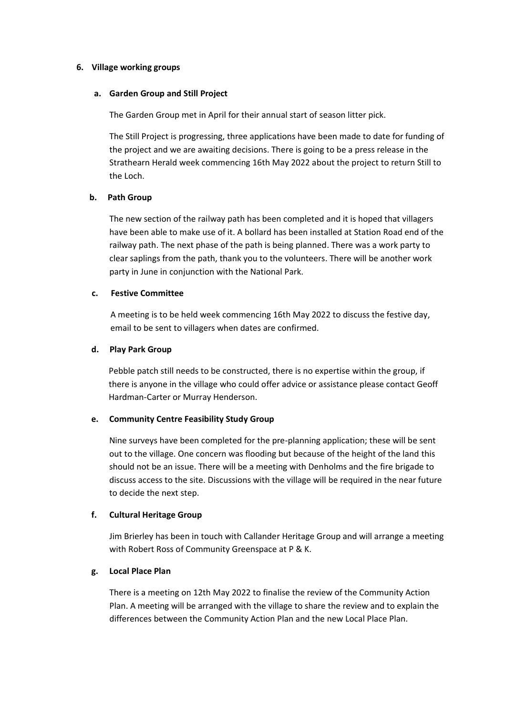#### **6. Village working groups**

#### **a. Garden Group and Still Project**

The Garden Group met in April for their annual start of season litter pick.

The Still Project is progressing, three applications have been made to date for funding of the project and we are awaiting decisions. There is going to be a press release in the Strathearn Herald week commencing 16th May 2022 about the project to return Still to the Loch.

## **b. Path Group**

The new section of the railway path has been completed and it is hoped that villagers have been able to make use of it. A bollard has been installed at Station Road end of the railway path. The next phase of the path is being planned. There was a work party to clear saplings from the path, thank you to the volunteers. There will be another work party in June in conjunction with the National Park.

## **c. Festive Committee**

A meeting is to be held week commencing 16th May 2022 to discuss the festive day, email to be sent to villagers when dates are confirmed.

## **d. Play Park Group**

Pebble patch still needs to be constructed, there is no expertise within the group, if there is anyone in the village who could offer advice or assistance please contact Geoff Hardman-Carter or Murray Henderson.

## **e. Community Centre Feasibility Study Group**

Nine surveys have been completed for the pre-planning application; these will be sent out to the village. One concern was flooding but because of the height of the land this should not be an issue. There will be a meeting with Denholms and the fire brigade to discuss access to the site. Discussions with the village will be required in the near future to decide the next step.

## **f. Cultural Heritage Group**

Jim Brierley has been in touch with Callander Heritage Group and will arrange a meeting with Robert Ross of Community Greenspace at P & K.

## **g. Local Place Plan**

There is a meeting on 12th May 2022 to finalise the review of the Community Action Plan. A meeting will be arranged with the village to share the review and to explain the differences between the Community Action Plan and the new Local Place Plan.